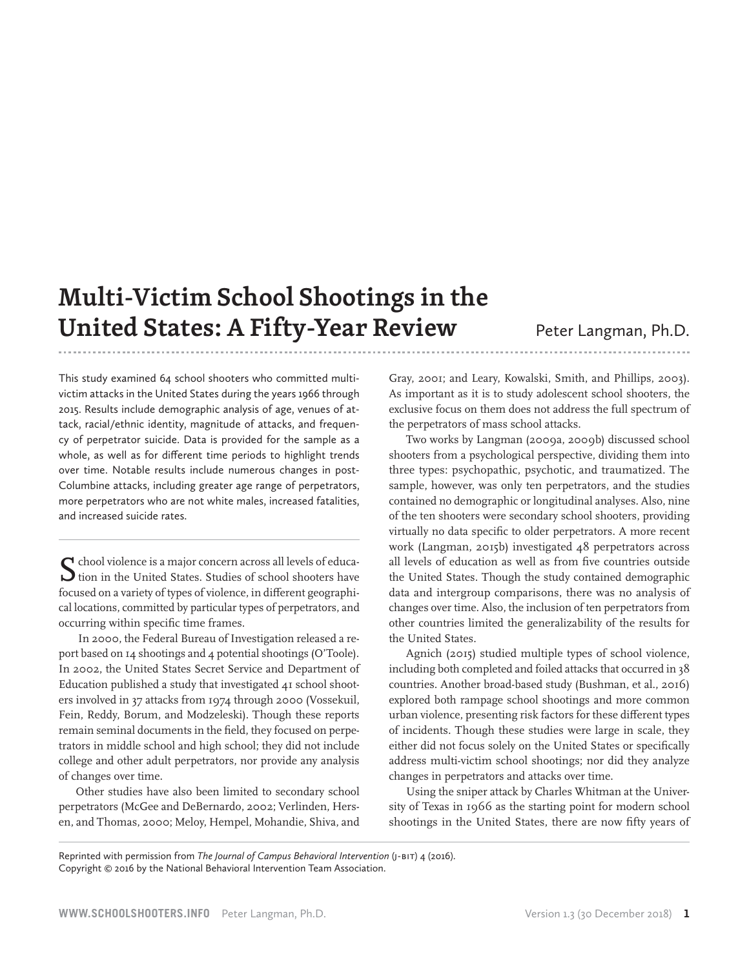# **Multi-Victim School Shootings in the United States: A Fifty-Year Review** Peter Langman, Ph.D.

This study examined 64 school shooters who committed multivictim attacks in the United States during the years 1966 through 2015. Results include demographic analysis of age, venues of attack, racial/ethnic identity, magnitude of attacks, and frequency of perpetrator suicide. Data is provided for the sample as a whole, as well as for different time periods to highlight trends over time. Notable results include numerous changes in post-Columbine attacks, including greater age range of perpetrators, more perpetrators who are not white males, increased fatalities, and increased suicide rates.

 $\sum$  chool violence is a major concern across all levels of educa-<br>tion in the United States. Studies of school shooters have focused on a variety of types of violence, in different geographical locations, committed by particular types of perpetrators, and occurring within specific time frames.

 In 2000, the Federal Bureau of Investigation released a report based on 14 shootings and 4 potential shootings (O'Toole). In 2002, the United States Secret Service and Department of Education published a study that investigated 41 school shooters involved in 37 attacks from 1974 through 2000 (Vossekuil, Fein, Reddy, Borum, and Modzeleski). Though these reports remain seminal documents in the field, they focused on perpetrators in middle school and high school; they did not include college and other adult perpetrators, nor provide any analysis of changes over time.

Other studies have also been limited to secondary school perpetrators (McGee and DeBernardo, 2002; Verlinden, Hersen, and Thomas, 2000; Meloy, Hempel, Mohandie, Shiva, and Gray, 2001; and Leary, Kowalski, Smith, and Phillips, 2003). As important as it is to study adolescent school shooters, the exclusive focus on them does not address the full spectrum of the perpetrators of mass school attacks.

Two works by Langman (2009a, 2009b) discussed school shooters from a psychological perspective, dividing them into three types: psychopathic, psychotic, and traumatized. The sample, however, was only ten perpetrators, and the studies contained no demographic or longitudinal analyses. Also, nine of the ten shooters were secondary school shooters, providing virtually no data specific to older perpetrators. A more recent work (Langman, 2015b) investigated 48 perpetrators across all levels of education as well as from five countries outside the United States. Though the study contained demographic data and intergroup comparisons, there was no analysis of changes over time. Also, the inclusion of ten perpetrators from other countries limited the generalizability of the results for the United States.

Agnich (2015) studied multiple types of school violence, including both completed and foiled attacks that occurred in 38 countries. Another broad-based study (Bushman, et al., 2016) explored both rampage school shootings and more common urban violence, presenting risk factors for these different types of incidents. Though these studies were large in scale, they either did not focus solely on the United States or specifically address multi-victim school shootings; nor did they analyze changes in perpetrators and attacks over time.

Using the sniper attack by Charles Whitman at the University of Texas in 1966 as the starting point for modern school shootings in the United States, there are now fifty years of

Reprinted with permission from *The Journal of Campus Behavioral Intervention* (J-BIT) 4 (2016). Copyright © 2016 by the National Behavioral Intervention Team Association.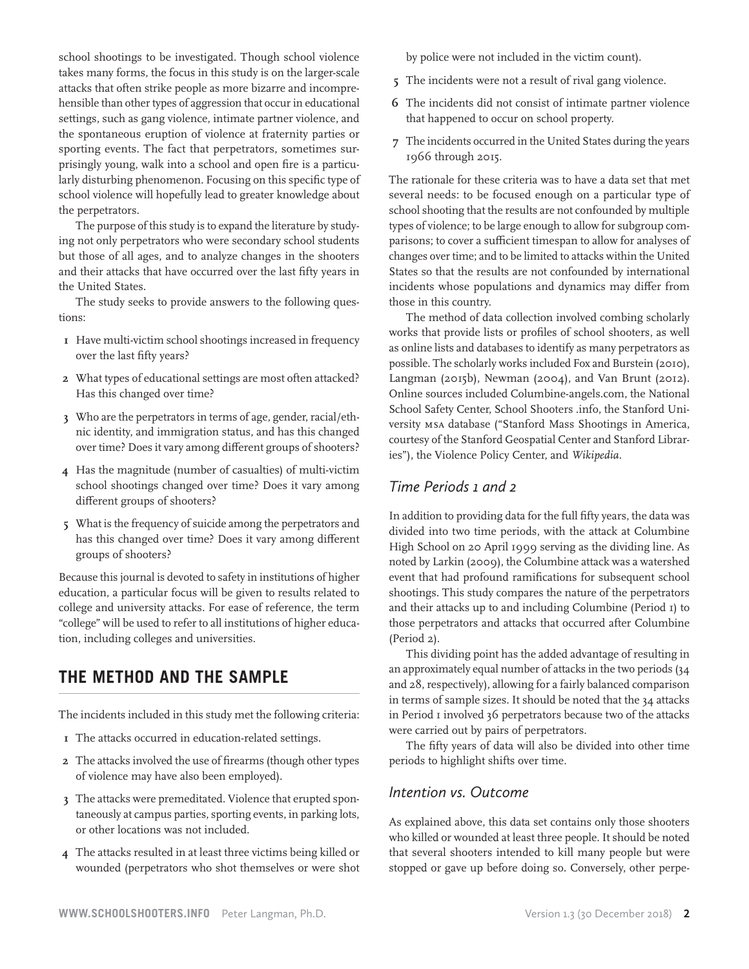school shootings to be investigated. Though school violence takes many forms, the focus in this study is on the larger-scale attacks that often strike people as more bizarre and incomprehensible than other types of aggression that occur in educational settings, such as gang violence, intimate partner violence, and the spontaneous eruption of violence at fraternity parties or sporting events. The fact that perpetrators, sometimes surprisingly young, walk into a school and open fire is a particularly disturbing phenomenon. Focusing on this specific type of school violence will hopefully lead to greater knowledge about the perpetrators.

The purpose of this study is to expand the literature by studying not only perpetrators who were secondary school students but those of all ages, and to analyze changes in the shooters and their attacks that have occurred over the last fifty years in the United States.

The study seeks to provide answers to the following questions:

- **1** Have multi-victim school shootings increased in frequency over the last fifty years?
- **2** What types of educational settings are most often attacked? Has this changed over time?
- **3** Who are the perpetrators in terms of age, gender, racial/ethnic identity, and immigration status, and has this changed over time? Does it vary among different groups of shooters?
- **4** Has the magnitude (number of casualties) of multi-victim school shootings changed over time? Does it vary among different groups of shooters?
- **5** What is the frequency of suicide among the perpetrators and has this changed over time? Does it vary among different groups of shooters?

Because this journal is devoted to safety in institutions of higher education, a particular focus will be given to results related to college and university attacks. For ease of reference, the term "college" will be used to refer to all institutions of higher education, including colleges and universities.

# **THE METHOD AND THE SAMPLE**

The incidents included in this study met the following criteria:

- **1** The attacks occurred in education-related settings.
- **2** The attacks involved the use of firearms (though other types of violence may have also been employed).
- **3** The attacks were premeditated. Violence that erupted spontaneously at campus parties, sporting events, in parking lots, or other locations was not included.
- **4** The attacks resulted in at least three victims being killed or wounded (perpetrators who shot themselves or were shot

by police were not included in the victim count).

- **5** The incidents were not a result of rival gang violence.
- **6** The incidents did not consist of intimate partner violence that happened to occur on school property.
- **7** The incidents occurred in the United States during the years 1966 through 2015.

The rationale for these criteria was to have a data set that met several needs: to be focused enough on a particular type of school shooting that the results are not confounded by multiple types of violence; to be large enough to allow for subgroup comparisons; to cover a sufficient timespan to allow for analyses of changes over time; and to be limited to attacks within the United States so that the results are not confounded by international incidents whose populations and dynamics may differ from those in this country.

The method of data collection involved combing scholarly works that provide lists or profiles of school shooters, as well as online lists and databases to identify as many perpetrators as possible. The scholarly works included Fox and Burstein (2010), Langman (2015b), Newman (2004), and Van Brunt (2012). Online sources included Columbine-angels.com, the National School Safety Center, School Shooters .info, the Stanford University MSA database ("Stanford Mass Shootings in America, courtesy of the Stanford Geospatial Center and Stanford Libraries"), the Violence Policy Center, and *Wikipedia.*

# *Time Periods 1 and 2*

In addition to providing data for the full fifty years, the data was divided into two time periods, with the attack at Columbine High School on 20 April 1999 serving as the dividing line. As noted by Larkin (2009), the Columbine attack was a watershed event that had profound ramifications for subsequent school shootings. This study compares the nature of the perpetrators and their attacks up to and including Columbine (Period 1) to those perpetrators and attacks that occurred after Columbine (Period 2).

This dividing point has the added advantage of resulting in an approximately equal number of attacks in the two periods (34 and 28, respectively), allowing for a fairly balanced comparison in terms of sample sizes. It should be noted that the 34 attacks in Period I involved 36 perpetrators because two of the attacks were carried out by pairs of perpetrators.

The fifty years of data will also be divided into other time periods to highlight shifts over time.

### *Intention vs. Outcome*

As explained above, this data set contains only those shooters who killed or wounded at least three people. It should be noted that several shooters intended to kill many people but were stopped or gave up before doing so. Conversely, other perpe-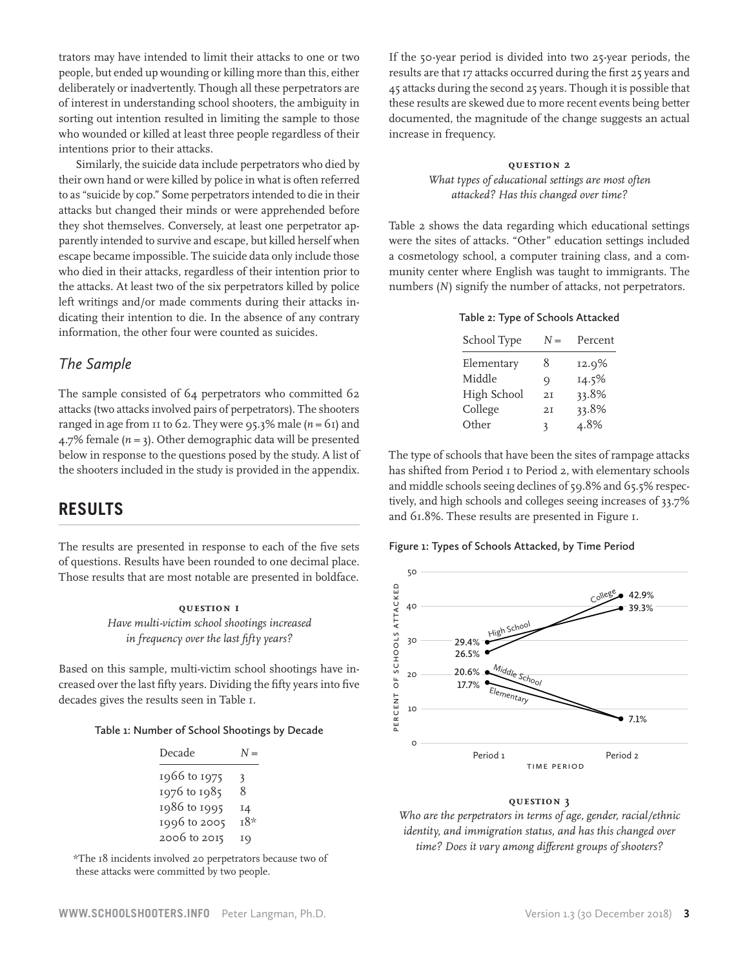trators may have intended to limit their attacks to one or two people, but ended up wounding or killing more than this, either deliberately or inadvertently. Though all these perpetrators are of interest in understanding school shooters, the ambiguity in sorting out intention resulted in limiting the sample to those who wounded or killed at least three people regardless of their intentions prior to their attacks.

Similarly, the suicide data include perpetrators who died by their own hand or were killed by police in what is often referred to as "suicide by cop." Some perpetrators intended to die in their attacks but changed their minds or were apprehended before they shot themselves. Conversely, at least one perpetrator apparently intended to survive and escape, but killed herself when escape became impossible. The suicide data only include those who died in their attacks, regardless of their intention prior to the attacks. At least two of the six perpetrators killed by police left writings and/or made comments during their attacks indicating their intention to die. In the absence of any contrary information, the other four were counted as suicides.

### *The Sample*

The sample consisted of 64 perpetrators who committed 62 attacks (two attacks involved pairs of perpetrators). The shooters ranged in age from  $11$  to 62. They were 95.3% male ( $n = 61$ ) and 4.7% female  $(n = 3)$ . Other demographic data will be presented below in response to the questions posed by the study. A list of the shooters included in the study is provided in the appendix.

# **RESULTS**

The results are presented in response to each of the five sets of questions. Results have been rounded to one decimal place. Those results that are most notable are presented in boldface.

> **Question 1** *Have multi-victim school shootings increased in frequency over the last fifty years?*

Based on this sample, multi-victim school shootings have increased over the last fifty years. Dividing the fifty years into five decades gives the results seen in Table 1.

#### **Table 1: Number of School Shootings by Decade**

| Decade       | $^{I} =$ |
|--------------|----------|
| 1966 to 1975 | 3        |
| 1976 to 1985 | 8        |
| 1986 to 1995 | 14       |
| 1996 to 2005 | т8*      |
| 2006 to 2015 | 19       |

 \*The 18 incidents involved 20 perpetrators because two of these attacks were committed by two people.

If the 50-year period is divided into two 25-year periods, the results are that 17 attacks occurred during the first 25 years and 45 attacks during the second 25 years. Though it is possible that these results are skewed due to more recent events being better documented, the magnitude of the change suggests an actual increase in frequency.

### **Question 2** *What types of educational settings are most often*

*attacked? Has this changed over time?*

Table 2 shows the data regarding which educational settings were the sites of attacks. "Other" education settings included a cosmetology school, a computer training class, and a community center where English was taught to immigrants. The numbers (*N*) signify the number of attacks, not perpetrators.

|  |  |  |  | Table 2: Type of Schools Attacked |
|--|--|--|--|-----------------------------------|
|--|--|--|--|-----------------------------------|

| School Type | $N =$ | Percent |
|-------------|-------|---------|
| Elementary  | 8     | 12.9%   |
| Middle      | O)    | 14.5%   |
| High School | 2I    | 33.8%   |
| College     | 2I    | 33.8%   |
| Other       | 3     | 4.8%    |

The type of schools that have been the sites of rampage attacks has shifted from Period 1 to Period 2, with elementary schools and middle schools seeing declines of 59.8% and 65.5% respectively, and high schools and colleges seeing increases of 33.7% and  $61.8\%$ . These results are presented in Figure  $I$ .

#### **Figure 1: Types of Schools Attacked, by Time Period**

Percdentages of Types of School, by Time Period



#### **Question 3**

*Who are the perpetrators in terms of age, gender, racial/ethnic identity, and immigration status, and has this changed over time? Does it vary among different groups of shooters?*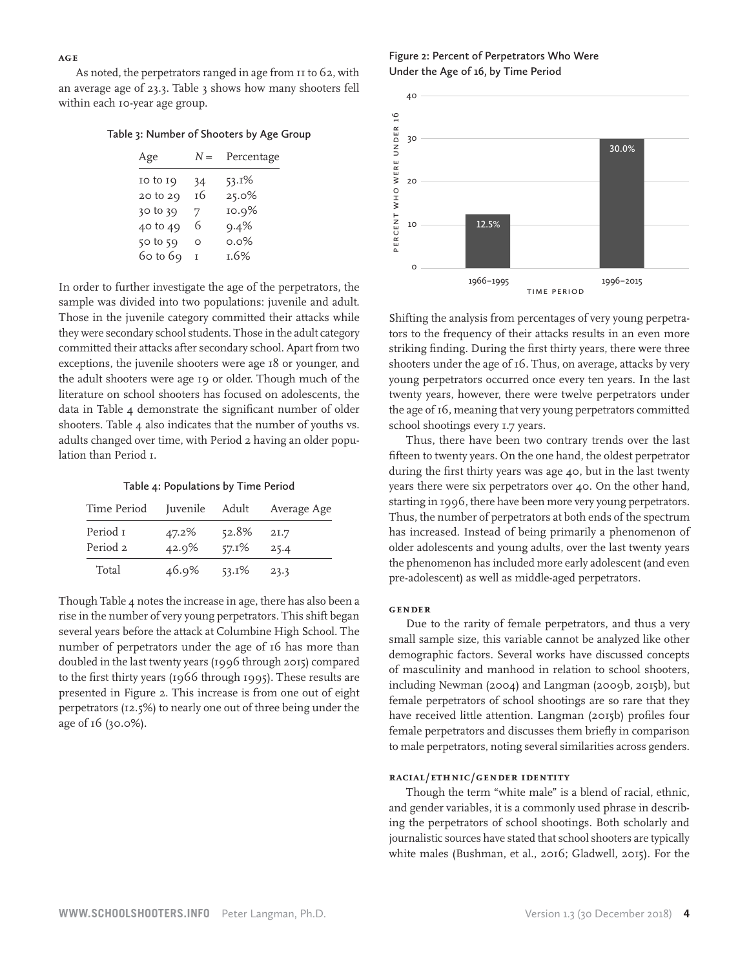**Age**

As noted, the perpetrators ranged in age from 11 to 62, with an average age of 23.3. Table 3 shows how many shooters fell within each 10-year age group.

|  | Table 3: Number of Shooters by Age Group |  |  |  |  |  |
|--|------------------------------------------|--|--|--|--|--|
|--|------------------------------------------|--|--|--|--|--|

| Age          | $N =$ | Percentage |
|--------------|-------|------------|
| $10$ to $19$ | 34    | $53.1\%$   |
| 20 to 29     | тб    | $25.0\%$   |
| 30 to 39     | 7     | 10.9%      |
| 40 to 49     | 6     | 9.4%       |
| 50 to 59     | Ω     | $0.0\%$    |
| 60 to 69     | т     | 1.6%       |
|              |       |            |

In order to further investigate the age of the perpetrators, the sample was divided into two populations: juvenile and adult. Those in the juvenile category committed their attacks while they were secondary school students. Those in the adult category committed their attacks after secondary school. Apart from two exceptions, the juvenile shooters were age 18 or younger, and the adult shooters were age 19 or older. Though much of the literature on school shooters has focused on adolescents, the data in Table 4 demonstrate the significant number of older shooters. Table 4 also indicates that the number of youths vs. adults changed over time, with Period 2 having an older population than Period  $\bar{I}$ .

**Table 4: Populations by Time Period**

| Time Period          | Juvenile Adult |                   | Average Age  |
|----------------------|----------------|-------------------|--------------|
| Period 1<br>Period 2 | 47.2%<br>42.9% | 52.8%<br>$57.1\%$ | 21.7<br>25.4 |
| Total                | 46.9%          | $53.1\%$          | 23.3         |

Though Table 4 notes the increase in age, there has also been a rise in the number of very young perpetrators. This shift began several years before the attack at Columbine High School. The number of perpetrators under the age of 16 has more than doubled in the last twenty years (1996 through 2015) compared to the first thirty years (1966 through 1995). These results are presented in Figure 2. This increase is from one out of eight perpetrators (12.5%) to nearly one out of three being under the age of 16 (30.0%).

**Figure 2: Percent of Perpetrators Who Were Under the Age of 16, by Time Period**



Shifting the analysis from percentages of very young perpetrators to the frequency of their attacks results in an even more striking finding. During the first thirty years, there were three shooters under the age of 16. Thus, on average, attacks by very young perpetrators occurred once every ten years. In the last twenty years, however, there were twelve perpetrators under the age of 16, meaning that very young perpetrators committed school shootings every 1.7 years.

Thus, there have been two contrary trends over the last fifteen to twenty years. On the one hand, the oldest perpetrator during the first thirty years was age 40, but in the last twenty years there were six perpetrators over 40. On the other hand, starting in 1996, there have been more very young perpetrators. Thus, the number of perpetrators at both ends of the spectrum has increased. Instead of being primarily a phenomenon of older adolescents and young adults, over the last twenty years the phenomenon has included more early adolescent (and even pre-adolescent) as well as middle-aged perpetrators.

#### **Gender**

Due to the rarity of female perpetrators, and thus a very small sample size, this variable cannot be analyzed like other demographic factors. Several works have discussed concepts of masculinity and manhood in relation to school shooters, including Newman (2004) and Langman (2009b, 2015b), but female perpetrators of school shootings are so rare that they have received little attention. Langman (2015b) profiles four female perpetrators and discusses them briefly in comparison to male perpetrators, noting several similarities across genders.

#### **Racial/Ethnic/Gender Identity**

Though the term "white male" is a blend of racial, ethnic, and gender variables, it is a commonly used phrase in describing the perpetrators of school shootings. Both scholarly and journalistic sources have stated that school shooters are typically white males (Bushman, et al., 2016; Gladwell, 2015). For the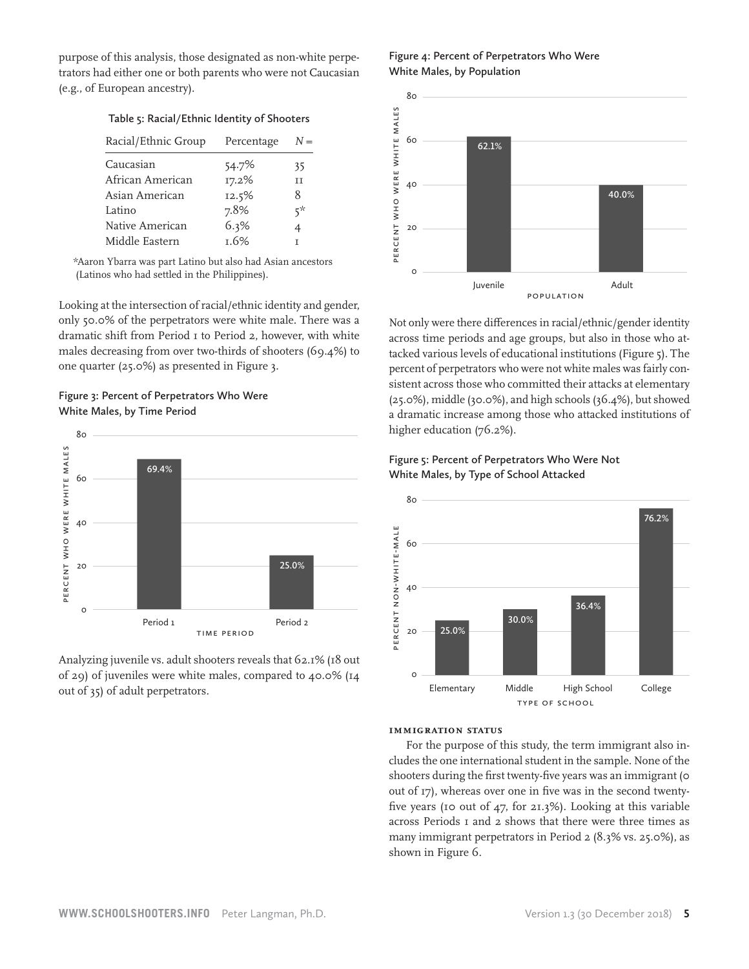purpose of this analysis, those designated as non-white perpetrators had either one or both parents who were not Caucasian (e.g., of European ancestry).

#### **Table 5: Racial/Ethnic Identity of Shooters**

| Racial/Ethnic Group | Percentage | $N =$ |
|---------------------|------------|-------|
| Caucasian           | 54.7%      | 35    |
| African American    | 17.2%      | ΤT    |
| Asian American      | 12.5%      | 8     |
| Latino              | 7.8%       | *ج    |
| Native American     | 6.3%       | 4     |
| Middle Eastern      | 1.6%       |       |

 \*Aaron Ybarra was part Latino but also had Asian ancestors (Latinos who had settled in the Philippines).

Looking at the intersection of racial/ethnic identity and gender, only 50.0% of the perpetrators were white male. There was a  $\qquad$  No dramatic shift from Period 1 to Period 2, however, with white males decreasing from over two-thirds of shooters (69.4%) to one quarter (25.0%) as presented in Figure 3.

### **Figure 3: Percent of Perpetrators Who Were White Males, by Time Period**



Analyzing juvenile vs. adult shooters reveals that 62.1% (18 out of 29) of juveniles were white males, compared to 40.0% (14 out of 35) of adult perpetrators.

**Figure 4: Percent of Perpetrators Who Were White Males, by Population**



Not only were there differences in racial/ethnic/gender identity across time periods and age groups, but also in those who attacked various levels of educational institutions (Figure 5). The percent of perpetrators who were not white males was fairly consistent across those who committed their attacks at elementary (25.0%), middle (30.0%), and high schools (36.4%), but showed a dramatic increase among those who attacked institutions of higher education (76.2%).

# White Males, by Type of School Attacked **Figure 5: Percent of Perpetrators Who Were Not**



#### **Immigration Status**

For the purpose of this study, the term immigrant also includes the one international student in the sample. None of the shooters during the first twenty-five years was an immigrant (0 out of 17), whereas over one in five was in the second twentyfive years (10 out of 47, for 21.3%). Looking at this variable across Periods 1 and 2 shows that there were three times as many immigrant perpetrators in Period 2 (8.3% vs. 25.0%), as shown in Figure 6.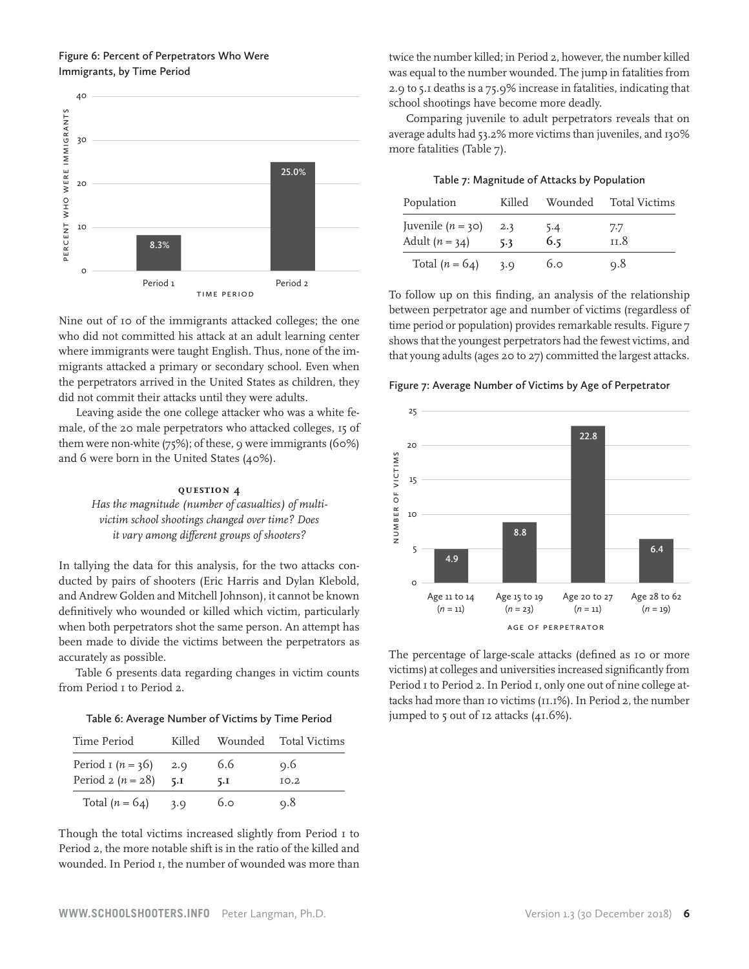### **Figure 6: Percent of Perpetrators Who Were Immigrants, by Time Period**



Nine out of 10 of the immigrants attacked colleges; the one who did not committed his attack at an adult learning center where immigrants were taught English. Thus, none of the immigrants attacked a primary or secondary school. Even when the perpetrators arrived in the United States as children, they did not commit their attacks until they were adults.

Leaving aside the one college attacker who was a white female, of the 20 male perpetrators who attacked colleges, 15 of them were non-white (75%); of these, 9 were immigrants (60%) and 6 were born in the United States (40%).

#### **Question 4**

*Has the magnitude (number of casualties) of multivictim school shootings changed over time? Does it vary among different groups of shooters?*

In tallying the data for this analysis, for the two attacks conducted by pairs of shooters (Eric Harris and Dylan Klebold, and Andrew Golden and Mitchell Johnson), it cannot be known definitively who wounded or killed which victim, particularly when both perpetrators shot the same person. An attempt has been made to divide the victims between the perpetrators as accurately as possible.

Table 6 presents data regarding changes in victim counts from Period I to Period 2.

| Table 6: Average Number of Victims by Time Period |  |  |  |  |
|---------------------------------------------------|--|--|--|--|
|---------------------------------------------------|--|--|--|--|

| Time Period         | Killed | Wounded | <b>Total Victims</b> |
|---------------------|--------|---------|----------------------|
| Period $r(n = 36)$  | 2.9    | 6.6     | Q.6                  |
| Period $2 (n = 28)$ | 5.1    | 5.I     | IO.2                 |
| Total $(n = 64)$    | 3.0    | 6.0     | 0.8                  |

Though the total victims increased slightly from Period I to Period 2, the more notable shift is in the ratio of the killed and wounded. In Period 1, the number of wounded was more than twice the number killed; in Period 2, however, the number killed was equal to the number wounded. The jump in fatalities from 2.9 to 5.1 deaths is a 75.9% increase in fatalities, indicating that school shootings have become more deadly.

Comparing juvenile to adult perpetrators reveals that on average adults had 53.2% more victims than juveniles, and 130% more fatalities (Table 7).

| Population                              | Killed     | Wounded    | <b>Total Victims</b>   |
|-----------------------------------------|------------|------------|------------------------|
| Juvenile $(n = 30)$<br>Adult $(n = 34)$ | 2.3<br>5.3 | 5.4<br>6.5 | 7.7<br><sup>11.8</sup> |
| Total $(n = 64)$                        | 3.0        | 6.0        | 0.8                    |

To follow up on this finding, an analysis of the relationship between perpetrator age and number of victims (regardless of expect the one time period or population) provides remarkable results. Figure 7 shows that the youngest perpetrators had the fewest victims, and that young adults (ages 20 to 27) committed the largest attacks.

#### $\mathbf{L}$  and  $\mathbf{S}$  are the set of  $\mathbf{S}$ Figure 7: Average Number of Victims by Age of Perpetrator



The percentage of large-scale attacks (defined as 10 or more victims) at colleges and universities increased significantly from Period I to Period 2. In Period I, only one out of nine college attacks had more than 10 victims (11.1%). In Period 2, the number jumped to 5 out of 12 attacks (41.6%).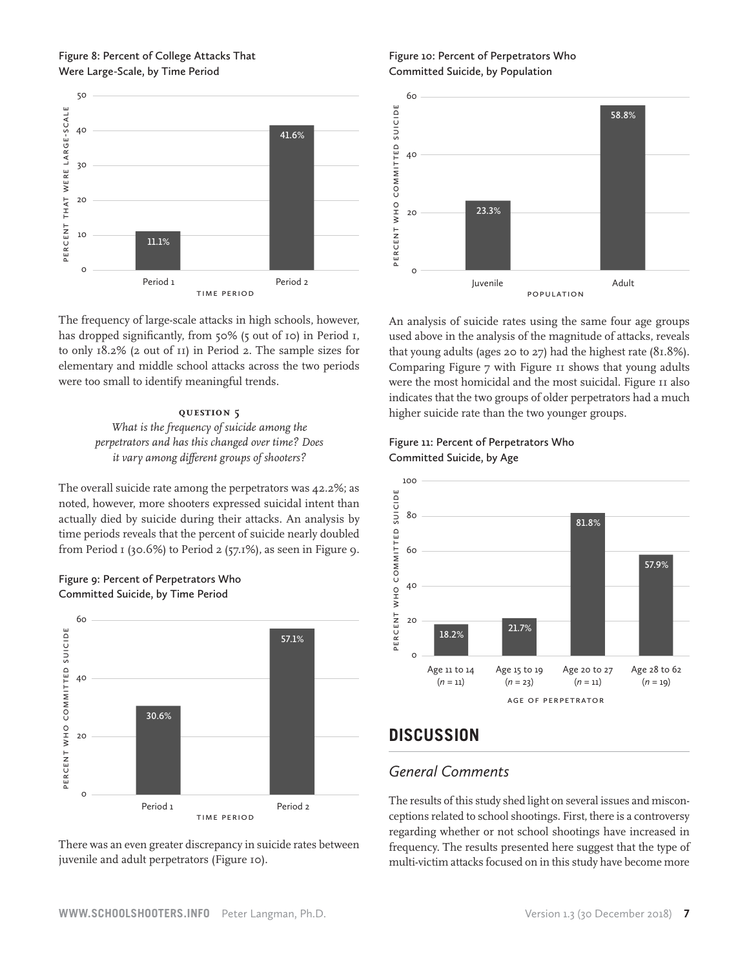### **Figure 8: Percent of College Attacks That Were Large-Scale, by Time Period**



The frequency of large-scale attacks in high schools, however, has dropped significantly, from 50% (5 out of 10) in Period 1,  $\qquad$  us to only 18.2% (2 out of 11) in Period 2. The sample sizes for elementary and middle school attacks across the two periods were too small to identify meaningful trends.

### **Question 5** *What is the frequency of suicide among the perpetrators and has this changed over time? Does it vary among different groups of shooters?*

The overall suicide rate among the perpetrators was 42.2%; as noted, however, more shooters expressed suicidal intent than actually died by suicide during their attacks. An analysis by time periods reveals that the percent of suicide nearly doubled from Period 1 (30.6%) to Period 2 (57.1%), as seen in Figure 9.





There was an even greater discrepancy in suicide rates between juvenile and adult perpetrators (Figure 10).

**Figure 10: Percent of Perpetrators Who Committed Suicide, by Population**



An analysis of suicide rates using the same four age groups used above in the analysis of the magnitude of attacks, reveals for that young adults (ages 20 to 27) had the highest rate (81.8%). Comparing Figure 7 with Figure 11 shows that young adults Somparing Figure 7 what Figure 11 shows that young address were the most homicidal and the most suicidal. Figure 11 also indicates that the two groups of older perpetrators had a much higher suicide rate than the two younger groups.

**Figure 11: Percent of Perpetrators Who Committed Suicide, by Age**



# **DISCUSSION**

# *General Comments*

The results of this study shed light on several issues and misconceptions related to school shootings. First, there is a controversy regarding whether or not school shootings have increased in frequency. The results presented here suggest that the type of multi-victim attacks focused on in this study have become more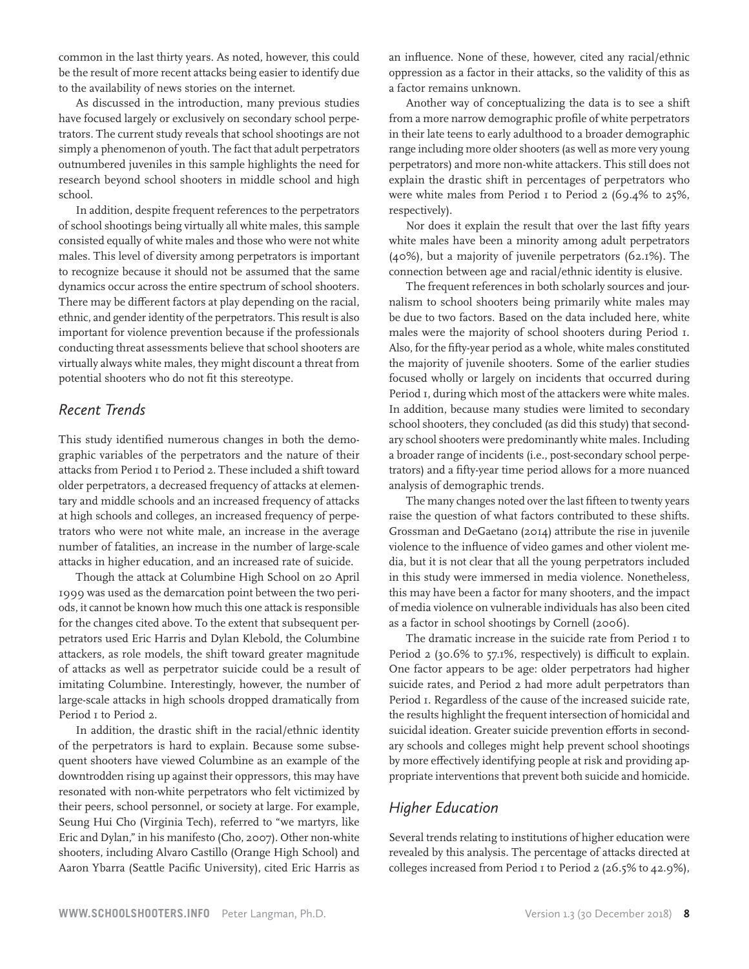common in the last thirty years. As noted, however, this could be the result of more recent attacks being easier to identify due to the availability of news stories on the internet.

As discussed in the introduction, many previous studies have focused largely or exclusively on secondary school perpetrators. The current study reveals that school shootings are not simply a phenomenon of youth. The fact that adult perpetrators outnumbered juveniles in this sample highlights the need for research beyond school shooters in middle school and high school.

In addition, despite frequent references to the perpetrators of school shootings being virtually all white males, this sample consisted equally of white males and those who were not white males. This level of diversity among perpetrators is important to recognize because it should not be assumed that the same dynamics occur across the entire spectrum of school shooters. There may be different factors at play depending on the racial, ethnic, and gender identity of the perpetrators. This result is also important for violence prevention because if the professionals conducting threat assessments believe that school shooters are virtually always white males, they might discount a threat from potential shooters who do not fit this stereotype.

# *Recent Trends*

This study identified numerous changes in both the demographic variables of the perpetrators and the nature of their attacks from Period 1 to Period 2. These included a shift toward older perpetrators, a decreased frequency of attacks at elementary and middle schools and an increased frequency of attacks at high schools and colleges, an increased frequency of perpetrators who were not white male, an increase in the average number of fatalities, an increase in the number of large-scale attacks in higher education, and an increased rate of suicide.

Though the attack at Columbine High School on 20 April 1999 was used as the demarcation point between the two periods, it cannot be known how much this one attack is responsible for the changes cited above. To the extent that subsequent perpetrators used Eric Harris and Dylan Klebold, the Columbine attackers, as role models, the shift toward greater magnitude of attacks as well as perpetrator suicide could be a result of imitating Columbine. Interestingly, however, the number of large-scale attacks in high schools dropped dramatically from Period  $\bar{1}$  to Period 2.

In addition, the drastic shift in the racial/ethnic identity of the perpetrators is hard to explain. Because some subsequent shooters have viewed Columbine as an example of the downtrodden rising up against their oppressors, this may have resonated with non-white perpetrators who felt victimized by their peers, school personnel, or society at large. For example, Seung Hui Cho (Virginia Tech), referred to "we martyrs, like Eric and Dylan," in his manifesto (Cho, 2007). Other non-white shooters, including Alvaro Castillo (Orange High School) and Aaron Ybarra (Seattle Pacific University), cited Eric Harris as an influence. None of these, however, cited any racial/ethnic oppression as a factor in their attacks, so the validity of this as a factor remains unknown.

Another way of conceptualizing the data is to see a shift from a more narrow demographic profile of white perpetrators in their late teens to early adulthood to a broader demographic range including more older shooters (as well as more very young perpetrators) and more non-white attackers. This still does not explain the drastic shift in percentages of perpetrators who were white males from Period 1 to Period 2 (69.4% to 25%, respectively).

Nor does it explain the result that over the last fifty years white males have been a minority among adult perpetrators (40%), but a majority of juvenile perpetrators (62.1%). The connection between age and racial/ethnic identity is elusive.

The frequent references in both scholarly sources and journalism to school shooters being primarily white males may be due to two factors. Based on the data included here, white males were the majority of school shooters during Period 1. Also, for the fifty-year period as a whole, white males constituted the majority of juvenile shooters. Some of the earlier studies focused wholly or largely on incidents that occurred during Period 1, during which most of the attackers were white males. In addition, because many studies were limited to secondary school shooters, they concluded (as did this study) that secondary school shooters were predominantly white males. Including a broader range of incidents (i.e., post-secondary school perpetrators) and a fifty-year time period allows for a more nuanced analysis of demographic trends.

The many changes noted over the last fifteen to twenty years raise the question of what factors contributed to these shifts. Grossman and DeGaetano (2014) attribute the rise in juvenile violence to the influence of video games and other violent media, but it is not clear that all the young perpetrators included in this study were immersed in media violence. Nonetheless, this may have been a factor for many shooters, and the impact of media violence on vulnerable individuals has also been cited as a factor in school shootings by Cornell (2006).

The dramatic increase in the suicide rate from Period I to Period 2 (30.6% to 57.1%, respectively) is difficult to explain. One factor appears to be age: older perpetrators had higher suicide rates, and Period 2 had more adult perpetrators than Period 1. Regardless of the cause of the increased suicide rate, the results highlight the frequent intersection of homicidal and suicidal ideation. Greater suicide prevention efforts in secondary schools and colleges might help prevent school shootings by more effectively identifying people at risk and providing appropriate interventions that prevent both suicide and homicide.

# *Higher Education*

Several trends relating to institutions of higher education were revealed by this analysis. The percentage of attacks directed at colleges increased from Period 1 to Period 2 (26.5% to 42.9%),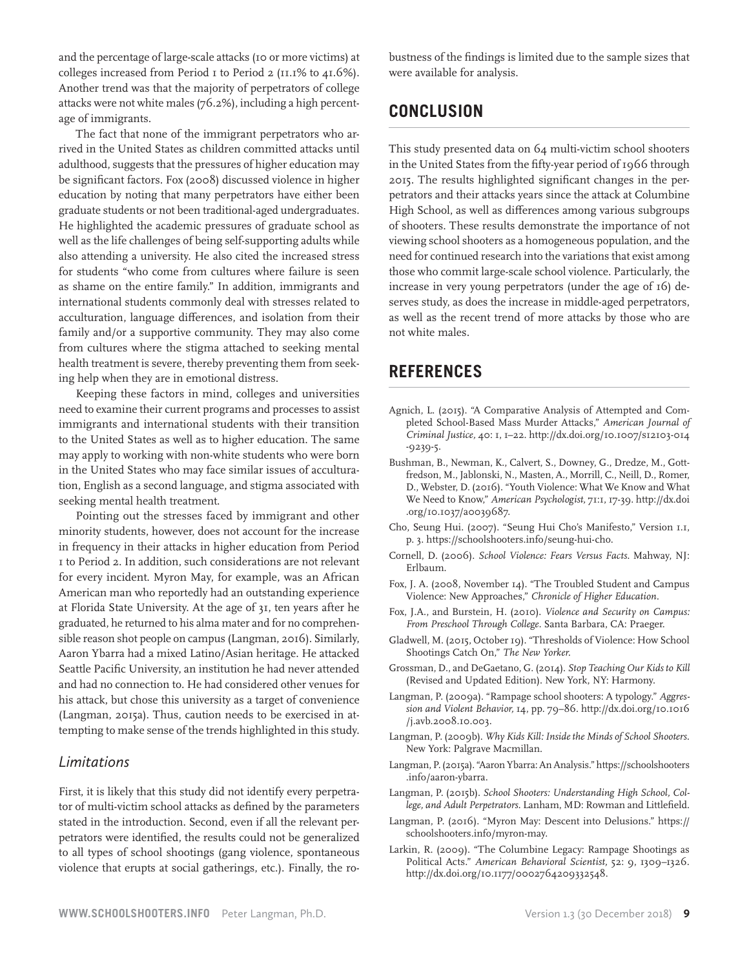and the percentage of large-scale attacks (10 or more victims) at colleges increased from Period 1 to Period 2 (11.1% to 41.6%). Another trend was that the majority of perpetrators of college attacks were not white males (76.2%), including a high percentage of immigrants.

The fact that none of the immigrant perpetrators who arrived in the United States as children committed attacks until adulthood, suggests that the pressures of higher education may be significant factors. Fox (2008) discussed violence in higher education by noting that many perpetrators have either been graduate students or not been traditional-aged undergraduates. He highlighted the academic pressures of graduate school as well as the life challenges of being self-supporting adults while also attending a university. He also cited the increased stress for students "who come from cultures where failure is seen as shame on the entire family." In addition, immigrants and international students commonly deal with stresses related to acculturation, language differences, and isolation from their family and/or a supportive community. They may also come from cultures where the stigma attached to seeking mental health treatment is severe, thereby preventing them from seeking help when they are in emotional distress.

Keeping these factors in mind, colleges and universities need to examine their current programs and processes to assist immigrants and international students with their transition to the United States as well as to higher education. The same may apply to working with non-white students who were born in the United States who may face similar issues of acculturation, English as a second language, and stigma associated with seeking mental health treatment.

Pointing out the stresses faced by immigrant and other minority students, however, does not account for the increase in frequency in their attacks in higher education from Period 1 to Period 2. In addition, such considerations are not relevant for every incident. Myron May, for example, was an African American man who reportedly had an outstanding experience at Florida State University. At the age of 31, ten years after he graduated, he returned to his alma mater and for no comprehensible reason shot people on campus (Langman, 2016). Similarly, Aaron Ybarra had a mixed Latino/Asian heritage. He attacked Seattle Pacific University, an institution he had never attended and had no connection to. He had considered other venues for his attack, but chose this university as a target of convenience (Langman, 2015a). Thus, caution needs to be exercised in attempting to make sense of the trends highlighted in this study.

### *Limitations*

First, it is likely that this study did not identify every perpetrator of multi-victim school attacks as defined by the parameters stated in the introduction. Second, even if all the relevant perpetrators were identified, the results could not be generalized to all types of school shootings (gang violence, spontaneous violence that erupts at social gatherings, etc.). Finally, the robustness of the findings is limited due to the sample sizes that were available for analysis.

# **CONCLUSION**

This study presented data on 64 multi-victim school shooters in the United States from the fifty-year period of 1966 through 2015. The results highlighted significant changes in the perpetrators and their attacks years since the attack at Columbine High School, as well as differences among various subgroups of shooters. These results demonstrate the importance of not viewing school shooters as a homogeneous population, and the need for continued research into the variations that exist among those who commit large-scale school violence. Particularly, the increase in very young perpetrators (under the age of 16) deserves study, as does the increase in middle-aged perpetrators, as well as the recent trend of more attacks by those who are not white males.

# **REFERENCES**

- Agnich, L. (2015). "A Comparative Analysis of Attempted and Completed School-Based Mass Murder Attacks," *American Journal of Criminal Justice,* 40: 1, 1–22. http://dx.doi.org/10.1007/s12103-014 -9239-5.
- Bushman, B., Newman, K., Calvert, S., Downey, G., Dredze, M., Gottfredson, M., Jablonski, N., Masten, A., Morrill, C., Neill, D., Romer, D., Webster, D. (2016). "Youth Violence: What We Know and What We Need to Know," *American Psychologist,* 71:1, 17-39. http://dx.doi .org/10.1037/a0039687.
- Cho, Seung Hui. (2007). "Seung Hui Cho's Manifesto," Version 1.1, p. 3. https://schoolshooters.info/seung-hui-cho.
- Cornell, D. (2006). *School Violence: Fears Versus Facts.* Mahway, NJ: Erlbaum.
- Fox, J. A. (2008, November 14). "The Troubled Student and Campus Violence: New Approaches," *Chronicle of Higher Education.*
- Fox, J.A., and Burstein, H. (2010). *Violence and Security on Campus: From Preschool Through College.* Santa Barbara, CA: Praeger.
- Gladwell, M. (2015, October 19). "Thresholds of Violence: How School Shootings Catch On," *The New Yorker.*
- Grossman, D., and DeGaetano, G. (2014). *Stop Teaching Our Kids to Kill* (Revised and Updated Edition). New York, NY: Harmony.
- Langman, P. (2009a). "Rampage school shooters: A typology." *Aggression and Violent Behavior,* 14, pp. 79–86. http://dx.doi.org/10.1016 /j.avb.2008.10.003.
- Langman, P. (2009b). *Why Kids Kill: Inside the Minds of School Shooters.* New York: Palgrave Macmillan.
- Langman, P. (2015a). "Aaron Ybarra: An Analysis." https://schoolshooters .info/aaron-ybarra.
- Langman, P. (2015b). *School Shooters: Understanding High School, College, and Adult Perpetrators.* Lanham, MD: Rowman and Littlefield.
- Langman, P. (2016). "Myron May: Descent into Delusions." https:// schoolshooters.info/myron-may.
- Larkin, R. (2009). "The Columbine Legacy: Rampage Shootings as Political Acts." *American Behavioral Scientist,* 52: 9, 1309–1326. http://dx.doi.org/10.1177/0002764209332548.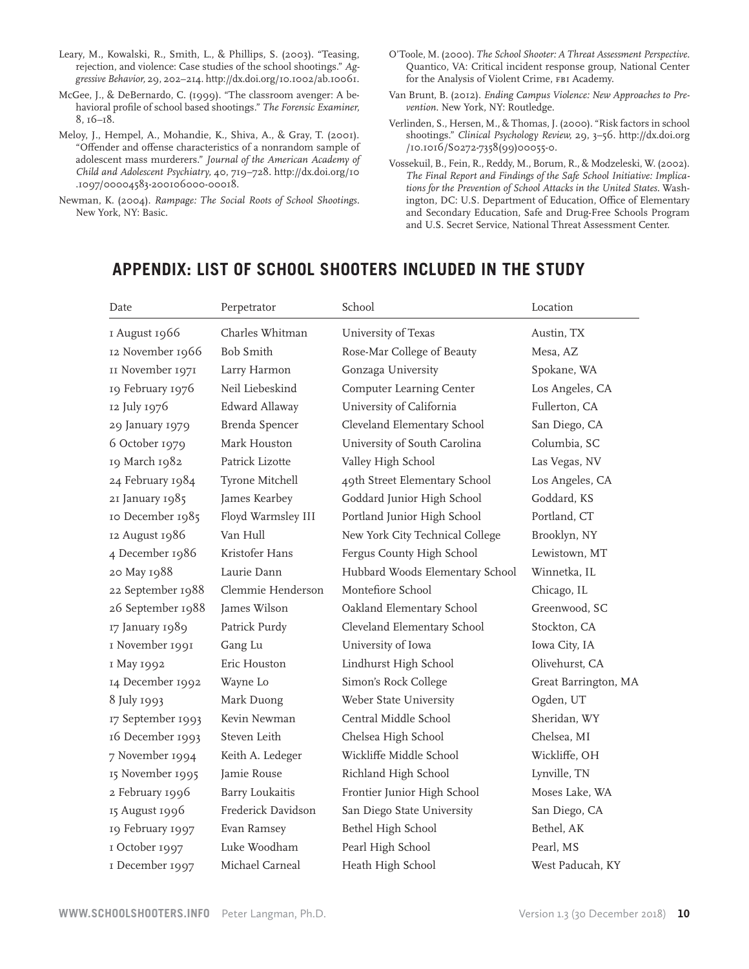- Leary, M., Kowalski, R., Smith, L., & Phillips, S. (2003). "Teasing, rejection, and violence: Case studies of the school shootings." *Aggressive Behavior,* 29, 202−214. http://dx.doi.org/10.1002/ab.10061.
- McGee, J., & DeBernardo, C. (1999). "The classroom avenger: A behavioral profile of school based shootings." *The Forensic Examiner,*  8, 16−18.
- Meloy, J., Hempel, A., Mohandie, K., Shiva, A., & Gray, T. (2001). "Offender and offense characteristics of a nonrandom sample of adolescent mass murderers." *Journal of the American Academy of Child and Adolescent Psychiatry,* 40, 719−728. http://dx.doi.org/10 .1097/00004583-200106000-00018.
- Newman, K. (2004). *Rampage: The Social Roots of School Shootings.*  New York, NY: Basic.
- O'Toole, M. (2000). *The School Shooter: A Threat Assessment Perspective.* Quantico, VA: Critical incident response group, National Center for the Analysis of Violent Crime, FBI Academy.
- Van Brunt, B. (2012). *Ending Campus Violence: New Approaches to Prevention.* New York, NY: Routledge.
- Verlinden, S., Hersen, M., & Thomas, J. (2000). "Risk factors in school shootings." *Clinical Psychology Review,* 29, 3–56. http://dx.doi.org /10.1016/S0272-7358(99)00055-0.
- Vossekuil, B., Fein, R., Reddy, M., Borum, R., & Modzeleski, W. (2002). *The Final Report and Findings of the Safe School Initiative: Implications for the Prevention of School Attacks in the United States.* Washington, DC: U.S. Department of Education, Office of Elementary and Secondary Education, Safe and Drug-Free Schools Program and U.S. Secret Service, National Threat Assessment Center.

# **APPENDIX: LIST OF SCHOOL SHOOTERS INCLUDED IN THE STUDY**

| Date              | Perpetrator            | School                          | Location             |
|-------------------|------------------------|---------------------------------|----------------------|
| I August 1966     | Charles Whitman        | University of Texas             | Austin, TX           |
| 12 November 1966  | <b>Bob Smith</b>       | Rose-Mar College of Beauty      | Mesa, AZ             |
| II November 1971  | Larry Harmon           | Gonzaga University              | Spokane, WA          |
| 19 February 1976  | Neil Liebeskind        | Computer Learning Center        | Los Angeles, CA      |
| 12 July 1976      | Edward Allaway         | University of California        | Fullerton, CA        |
| 29 January 1979   | Brenda Spencer         | Cleveland Elementary School     | San Diego, CA        |
| 6 October 1979    | Mark Houston           | University of South Carolina    | Columbia, SC         |
| 19 March 1982     | Patrick Lizotte        | Valley High School              | Las Vegas, NV        |
| 24 February 1984  | Tyrone Mitchell        | 49th Street Elementary School   | Los Angeles, CA      |
| 21 January 1985   | James Kearbey          | Goddard Junior High School      | Goddard, KS          |
| 10 December 1985  | Floyd Warmsley III     | Portland Junior High School     | Portland, CT         |
| 12 August 1986    | Van Hull               | New York City Technical College | Brooklyn, NY         |
| 4 December 1986   | Kristofer Hans         | Fergus County High School       | Lewistown, MT        |
| 20 May 1988       | Laurie Dann            | Hubbard Woods Elementary School | Winnetka, IL         |
| 22 September 1988 | Clemmie Henderson      | Montefiore School               | Chicago, IL          |
| 26 September 1988 | James Wilson           | Oakland Elementary School       | Greenwood, SC        |
| 17 January 1989   | Patrick Purdy          | Cleveland Elementary School     | Stockton, CA         |
| I November 1991   | Gang Lu                | University of Iowa              | Iowa City, IA        |
| I May 1992        | Eric Houston           | Lindhurst High School           | Olivehurst, CA       |
| 14 December 1992  | Wayne Lo               | Simon's Rock College            | Great Barrington, MA |
| 8 July 1993       | Mark Duong             | Weber State University          | Ogden, UT            |
| 17 September 1993 | Kevin Newman           | Central Middle School           | Sheridan, WY         |
| 16 December 1993  | Steven Leith           | Chelsea High School             | Chelsea, MI          |
| 7 November 1994   | Keith A. Ledeger       | Wickliffe Middle School         | Wickliffe, OH        |
| 15 November 1995  | Jamie Rouse            | Richland High School            | Lynville, TN         |
| 2 February 1996   | <b>Barry Loukaitis</b> | Frontier Junior High School     | Moses Lake, WA       |
| 15 August 1996    | Frederick Davidson     | San Diego State University      | San Diego, CA        |
| 19 February 1997  | Evan Ramsey            | Bethel High School              | Bethel, AK           |
| I October 1997    | Luke Woodham           | Pearl High School               | Pearl, MS            |
| I December 1997   | Michael Carneal        | Heath High School               | West Paducah, KY     |